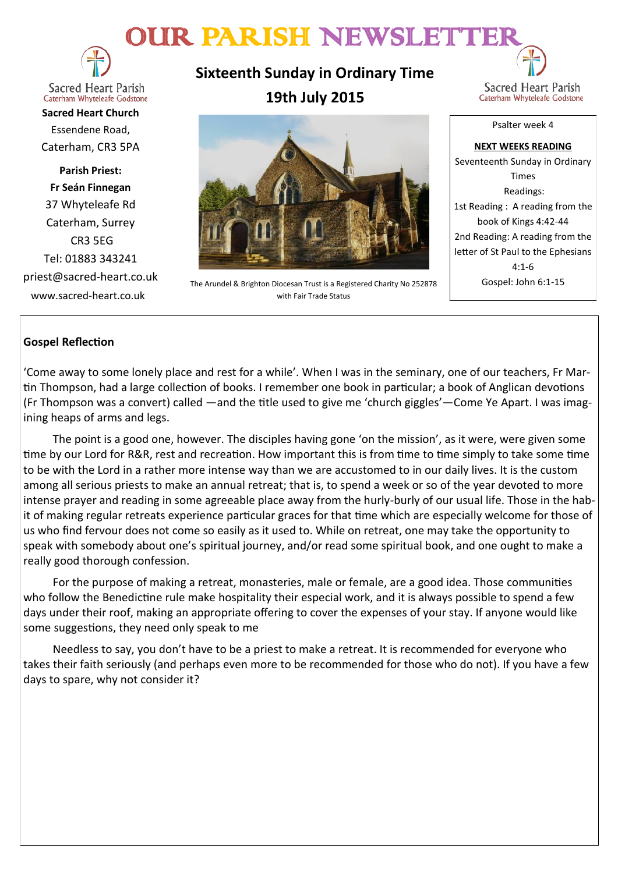# OUR PARISH NEWSLETTE



**Sacred Heart Parish** Caterham Whyteleafe Godstone

**Sacred Heart Church** Essendene Road, Caterham, CR3 5PA

**Parish Priest: Fr Seán Finnegan** 37 Whyteleafe Rd Caterham, Surrey CR3 5EG Tel: 01883 343241 priest@sacred-heart.co.uk www.sacred-heart.co.uk

**Sixteenth Sunday in Ordinary Time 19th July 2015**



The Arundel & Brighton Diocesan Trust is a Registered Charity No 252878 with Fair Trade Status

Sacred Heart Parish Caterham Whyteleafe Godstone

Psalter week 4

**NEXT WEEKS READING** Seventeenth Sunday in Ordinary Times Readings: 1st Reading : A reading from the book of Kings 4:42-44 2nd Reading: A reading from the letter of St Paul to the Ephesians 4:1-6 Gospel: John 6:1-15

# **Gospel Reflection**

'Come away to some lonely place and rest for a while'. When I was in the seminary, one of our teachers, Fr Martin Thompson, had a large collection of books. I remember one book in particular; a book of Anglican devotions (Fr Thompson was a convert) called —and the title used to give me 'church giggles'—Come Ye Apart. I was imagining heaps of arms and legs.

The point is a good one, however. The disciples having gone 'on the mission', as it were, were given some time by our Lord for R&R, rest and recreation. How important this is from time to time simply to take some time to be with the Lord in a rather more intense way than we are accustomed to in our daily lives. It is the custom among all serious priests to make an annual retreat; that is, to spend a week or so of the year devoted to more intense prayer and reading in some agreeable place away from the hurly-burly of our usual life. Those in the habit of making regular retreats experience particular graces for that time which are especially welcome for those of us who find fervour does not come so easily as it used to. While on retreat, one may take the opportunity to speak with somebody about one's spiritual journey, and/or read some spiritual book, and one ought to make a really good thorough confession.

For the purpose of making a retreat, monasteries, male or female, are a good idea. Those communities who follow the Benedictine rule make hospitality their especial work, and it is always possible to spend a few days under their roof, making an appropriate offering to cover the expenses of your stay. If anyone would like some suggestions, they need only speak to me

Needless to say, you don't have to be a priest to make a retreat. It is recommended for everyone who takes their faith seriously (and perhaps even more to be recommended for those who do not). If you have a few days to spare, why not consider it?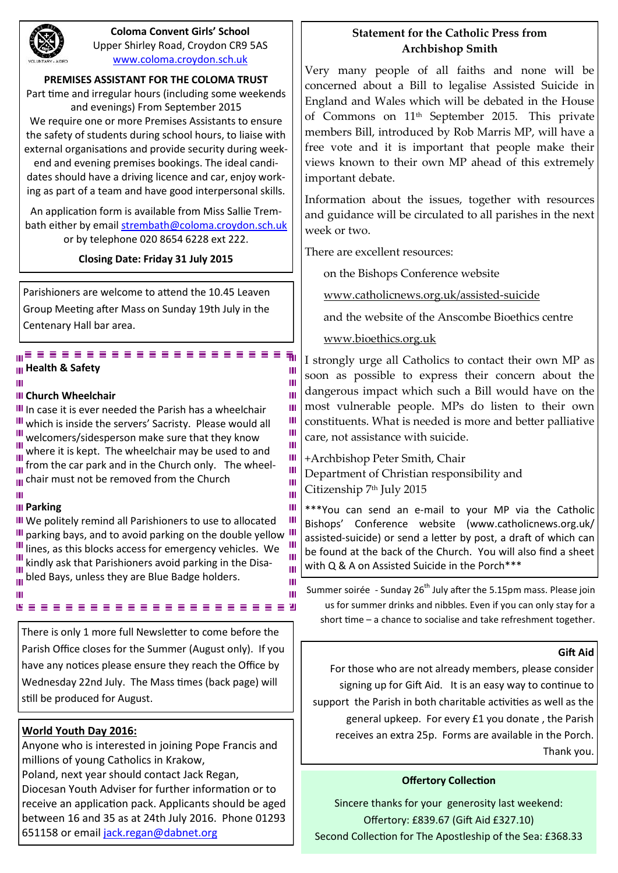

### **Coloma Convent Girls' School** Upper Shirley Road, Croydon CR9 5AS [www.coloma.croydon.sch.uk](http://www.coloma.croydon.sch.uk/)

### **PREMISES ASSISTANT FOR THE COLOMA TRUST**

Part time and irregular hours (including some weekends and evenings) From September 2015 We require one or more Premises Assistants to ensure the safety of students during school hours, to liaise with external organisations and provide security during week-

end and evening premises bookings. The ideal candidates should have a driving licence and car, enjoy working as part of a team and have good interpersonal skills.

An application form is available from Miss Sallie Trembath either by email [strembath@coloma.croydon.sch.uk](mailto:strembath@coloma.croydon.sch.uk) or by telephone 020 8654 6228 ext 222.

**Closing Date: Friday 31 July 2015** 

Parishioners are welcome to attend the 10.45 Leaven Group Meeting after Mass on Sunday 19th July in the Centenary Hall bar area.

#### **Health & Safety** Ш

### **III Church Wheelchair**

III In case it is ever needed the Parish has a wheelchair III which is inside the servers' Sacristy. Please would all  $\frac{1}{2}$  welcomers/sidesperson make sure that they know Welcomers, slace person make sare that they know<br>
III where it is kept. The wheelchair may be used to and  $\frac{1}{10}$  from the car park and in the Church only. The wheel- $\frac{d}{d\theta}$  chair must not be removed from the Church

#### Ш **III** Parking

**III** We politely remind all Parishioners to use to allocated Ш III parking bays, and to avoid parking on the double yellow III III lines, as this blocks access for emergency vehicles. We III IIII COVER THE PARTISHIONERS avoid parking in the Disa-Ш Ш **ii** bled Bays, unless they are Blue Badge holders. Ш Ш m

There is only 1 more full Newsletter to come before the Parish Office closes for the Summer (August only). If you have any notices please ensure they reach the Office by Wednesday 22nd July. The Mass times (back page) will still be produced for August.

# **World Youth Day 2016:**

Anyone who is interested in joining Pope Francis and millions of young Catholics in Krakow, Poland, next year should contact Jack Regan, Diocesan Youth Adviser for further information or to receive an application pack. Applicants should be aged between 16 and 35 as at 24th July 2016. Phone 01293 651158 or email [jack.regan@dabnet.org](mailto:jack.regan@dabnet.org)

# **Statement for the Catholic Press from Archbishop Smith**

Very many people of all faiths and none will be concerned about a Bill to legalise Assisted Suicide in England and Wales which will be debated in the House of Commons on 11th September 2015. This private members Bill, introduced by Rob Marris MP, will have a free vote and it is important that people make their views known to their own MP ahead of this extremely important debate.

Information about the issues, together with resources and guidance will be circulated to all parishes in the next week or two.

There are excellent resources:

on the Bishops Conference website

[www.catholicnews.org.uk/assisted](http://www.catholicnews.org.uk/assisted-suicide)-suicide

and the website of the Anscombe Bioethics centre

[www.bioethics.org.uk](http://www.bioethics.org.uk)

Ш

Ш Ш Ш Ш Ш Ш Ш Ш Ш Ш

Ш

割

I strongly urge all Catholics to contact their own MP as soon as possible to express their concern about the dangerous impact which such a Bill would have on the most vulnerable people. MPs do listen to their own constituents. What is needed is more and better palliative care, not assistance with suicide.

+Archbishop Peter Smith, Chair Department of Christian responsibility and

Citizenship 7<sup>th</sup> July 2015

\*\*\*You can send an e-mail to your MP via the Catholic Bishops' Conference website (www.catholicnews.org.uk/ assisted-suicide) or send a letter by post, a draft of which can be found at the back of the Church. You will also find a sheet with Q & A on Assisted Suicide in the Porch\*\*\*

Summer soirée - Sunday  $26<sup>th</sup>$  July after the 5.15pm mass. Please join us for summer drinks and nibbles. Even if you can only stay for a short time – a chance to socialise and take refreshment together.

# **Gift Aid**

For those who are not already members, please consider signing up for Gift Aid. It is an easy way to continue to support the Parish in both charitable activities as well as the general upkeep. For every £1 you donate , the Parish receives an extra 25p. Forms are available in the Porch. Thank you.

# **Offertory Collection**

Sincere thanks for your generosity last weekend: Offertory: £839.67 (Gift Aid £327.10) Second Collection for The Apostleship of the Sea: £368.33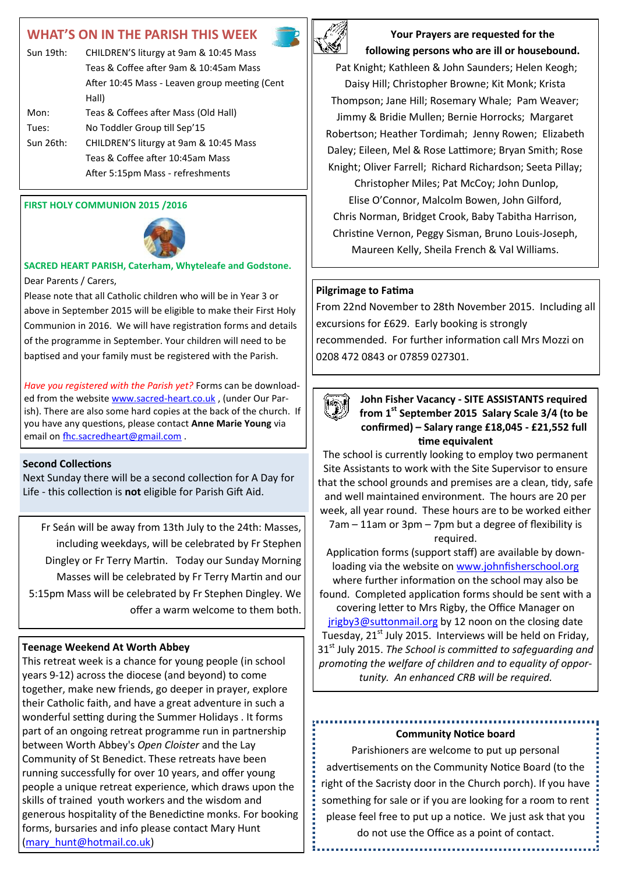# **WHAT'S ON IN THE PARISH THIS WEEK**

| Sun 19th: | CHILDREN'S liturgy at 9am & 10:45 Mass        |
|-----------|-----------------------------------------------|
|           | Teas & Coffee after 9am & 10:45am Mass        |
|           | After 10:45 Mass - Leaven group meeting (Cent |
|           | Hall)                                         |
| Mon:      | Teas & Coffees after Mass (Old Hall)          |
| Tues:     | No Toddler Group till Sep'15                  |
| Sun 26th: | CHILDREN'S liturgy at 9am & 10:45 Mass        |
|           | Teas & Coffee after 10:45am Mass              |
|           | After 5:15pm Mass - refreshments              |
|           |                                               |

#### **FIRST HOLY COMMUNION 2015 /2016**



**SACRED HEART PARISH, Caterham, Whyteleafe and Godstone.** Dear Parents / Carers,

Please note that all Catholic children who will be in Year 3 or above in September 2015 will be eligible to make their First Holy Communion in 2016. We will have registration forms and details of the programme in September. Your children will need to be baptised and your family must be registered with the Parish.

*Have you registered with the Parish yet?* Forms can be downloaded from the website [www.sacred](http://www.sacred-heart.co.uk)-heart.co.uk , (under Our Parish). There are also some hard copies at the back of the church. If you have any questions, please contact **Anne Marie Young** via email on [fhc.sacredheart@gmail.com](mailto:fhc.sacredheart@gmail.com).

#### **Second Collections**

Next Sunday there will be a second collection for A Day for Life - this collection is **not** eligible for Parish Gift Aid.

Fr Seán will be away from 13th July to the 24th: Masses, including weekdays, will be celebrated by Fr Stephen Dingley or Fr Terry Martin. Today our Sunday Morning Masses will be celebrated by Fr Terry Martin and our 5:15pm Mass will be celebrated by Fr Stephen Dingley. We offer a warm welcome to them both.

#### **Teenage Weekend At Worth Abbey**

This retreat week is a chance for young people (in school years 9-12) across the diocese (and beyond) to come together, make new friends, go deeper in prayer, explore their Catholic faith, and have a great adventure in such a wonderful setting during the Summer Holidays . It forms part of an ongoing retreat programme run in partnership between Worth Abbey's *Open Cloister* and the Lay Community of St Benedict. These retreats have been running successfully for over 10 years, and offer young people a unique retreat experience, which draws upon the skills of trained youth workers and the wisdom and generous hospitality of the Benedictine monks. For booking forms, bursaries and info please contact Mary Hunt ([mary\\_hunt@hotmail.co.uk\)](mailto:mary_hunt@hotmail.co.uk)



**Your Prayers are requested for the following persons who are ill or housebound.** 

Pat Knight; Kathleen & John Saunders; Helen Keogh; Daisy Hill; Christopher Browne; Kit Monk; Krista Thompson; Jane Hill; Rosemary Whale; Pam Weaver; Jimmy & Bridie Mullen; Bernie Horrocks; Margaret Robertson; Heather Tordimah; Jenny Rowen; Elizabeth Daley; Eileen, Mel & Rose Lattimore; Bryan Smith; Rose Knight; Oliver Farrell; Richard Richardson; Seeta Pillay;

Christopher Miles; Pat McCoy; John Dunlop, Elise O'Connor, Malcolm Bowen, John Gilford, Chris Norman, Bridget Crook, Baby Tabitha Harrison, Christine Vernon, Peggy Sisman, Bruno Louis-Joseph, Maureen Kelly, Sheila French & Val Williams.

#### **Pilgrimage to Fatima**

From 22nd November to 28th November 2015. Including all excursions for £629. Early booking is strongly recommended. For further information call Mrs Mozzi on 0208 472 0843 or 07859 027301.



## **John Fisher Vacancy - SITE ASSISTANTS required from 1st September 2015 Salary Scale 3/4 (to be confirmed) – Salary range £18,045 - £21,552 full time equivalent**

The school is currently looking to employ two permanent Site Assistants to work with the Site Supervisor to ensure that the school grounds and premises are a clean, tidy, safe and well maintained environment. The hours are 20 per week, all year round. These hours are to be worked either 7am – 11am or 3pm – 7pm but a degree of flexibility is required.

Application forms (support staff) are available by downloading via the website on [www.johnfisherschool.org](http://www.johnfisherschool.org) where further information on the school may also be found. Completed application forms should be sent with a covering letter to Mrs Rigby, the Office Manager on  $irigby3@suttonmail.org by 12 noon on the closing date$ Tuesday,  $21^{st}$  July 2015. Interviews will be held on Friday, 31st July 2015. *The School is committed to safeguarding and promoting the welfare of children and to equality of opportunity. An enhanced CRB will be required.*

# **Community Notice board**

..........................

Parishioners are welcome to put up personal advertisements on the Community Notice Board (to the right of the Sacristy door in the Church porch). If you have something for sale or if you are looking for a room to rent please feel free to put up a notice. We just ask that you do not use the Office as a point of contact.